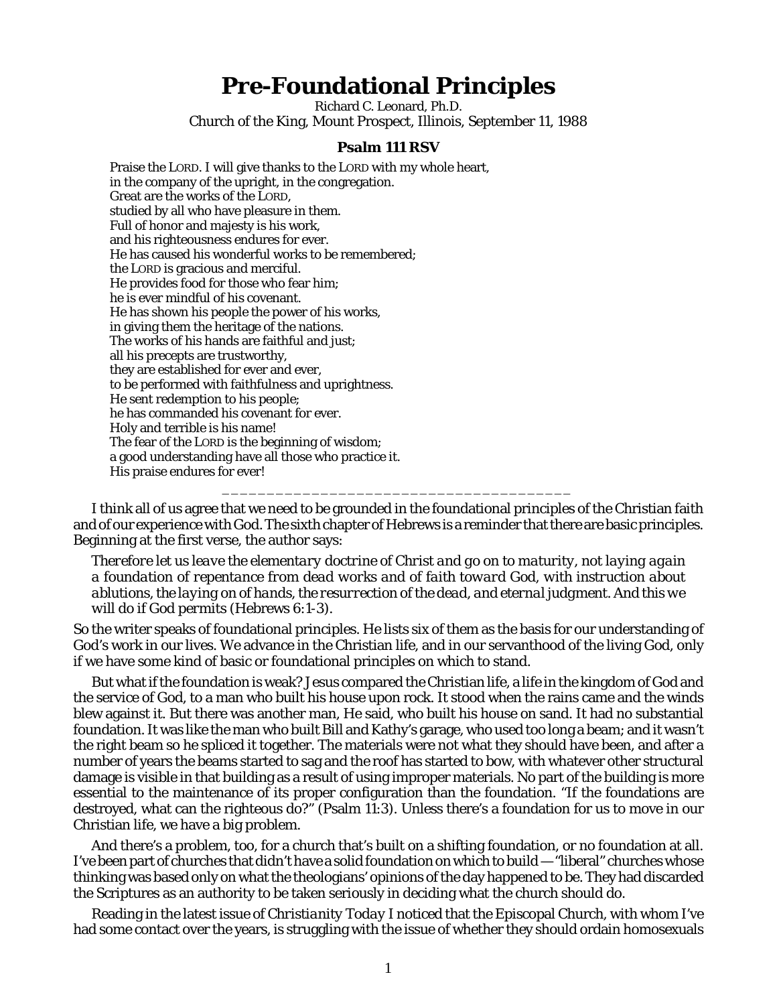## **Pre-Foundational Principles**

Richard C. Leonard, Ph.D. Church of the King, Mount Prospect, Illinois, September 11, 1988

## **Psalm 111 RSV**

Praise the LORD. I will give thanks to the LORD with my whole heart, in the company of the upright, in the congregation. Great are the works of the LORD, studied by all who have pleasure in them. Full of honor and majesty is his work, and his righteousness endures for ever. He has caused his wonderful works to be remembered; the LORD is gracious and merciful. He provides food for those who fear him; he is ever mindful of his covenant. He has shown his people the power of his works, in giving them the heritage of the nations. The works of his hands are faithful and just; all his precepts are trustworthy, they are established for ever and ever, to be performed with faithfulness and uprightness. He sent redemption to his people; he has commanded his covenant for ever. Holy and terrible is his name! The fear of the LORD is the beginning of wisdom; a good understanding have all those who practice it. His praise endures for ever! \_\_\_\_\_\_\_\_\_\_\_\_\_\_\_\_\_\_\_\_\_\_\_\_\_\_\_\_\_\_\_\_\_\_\_\_\_\_\_

I think all of us agree that we need to be grounded in the foundational principles of the Christian faith and of our experience with God. The sixth chapter of Hebrews is a reminder that there are basic principles. Beginning at the first verse, the author says:

*Therefore let us leave the elementary doctrine of Christ and go on to maturity, not laying again a foundation of repentance from dead works and of faith toward God, with instruction about ablutions, the laying on of hands, the resurrection of the dead, and eternal judgment. And this we will do if God permits* (Hebrews 6:1-3).

So the writer speaks of foundational principles. He lists six of them as the basis for our understanding of God's work in our lives. We advance in the Christian life, and in our servanthood of the living God, only if we have some kind of basic or foundational principles on which to stand.

But what if the foundation is weak? Jesus compared the Christian life, a life in the kingdom of God and the service of God, to a man who built his house upon rock. It stood when the rains came and the winds blew against it. But there was another man, He said, who built his house on sand. It had no substantial foundation. It was like the man who built Bill and Kathy's garage, who used too long a beam; and it wasn't the right beam so he spliced it together. The materials were not what they should have been, and after a number of years the beams started to sag and the roof has started to bow, with whatever other structural damage is visible in that building as a result of using improper materials. No part of the building is more essential to the maintenance of its proper configuration than the foundation. "If the foundations are destroyed, what can the righteous do?" (Psalm 11:3). Unless there's a foundation for us to move in our Christian life, we have a big problem.

And there's a problem, too, for a church that's built on a shifting foundation, or no foundation at all. I've been part of churches that didn't have a solid foundation on which to build — "liberal" churches whose thinking was based only on what the theologians' opinions of the day happened to be. They had discarded the Scriptures as an authority to be taken seriously in deciding what the church should do.

Reading in the latest issue of *Christianity Today* I noticed that the Episcopal Church, with whom I've had some contact over the years, is struggling with the issue of whether they should ordain homosexuals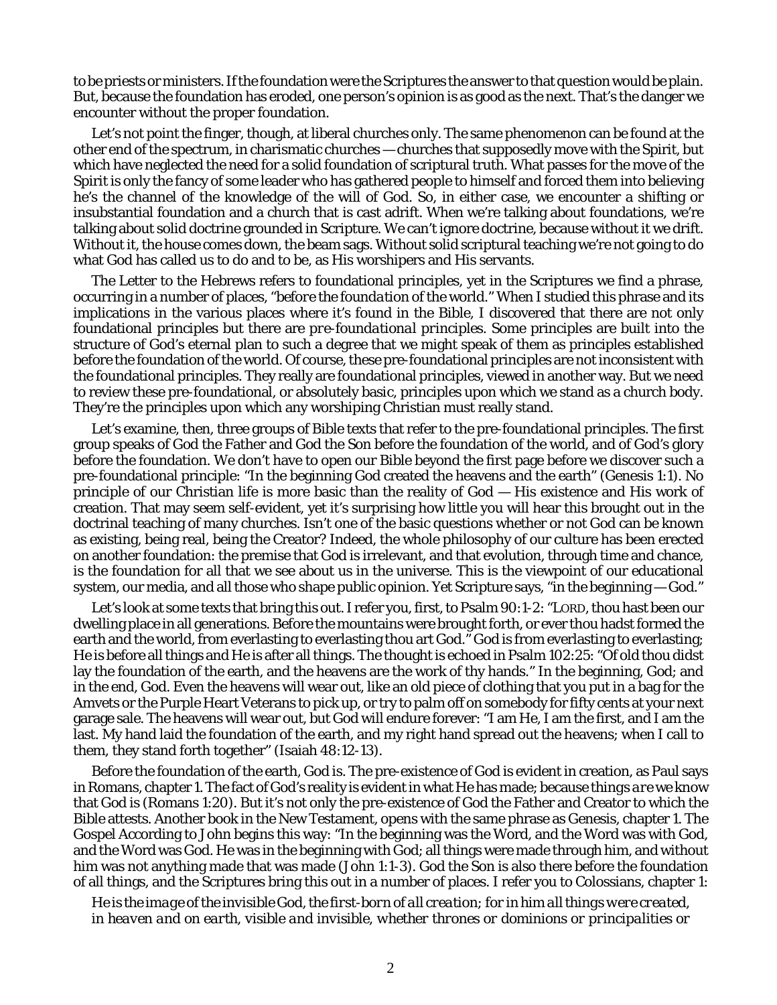to be priests or ministers. If the foundation were the Scriptures the answer to that question would be plain. But, because the foundation has eroded, one person's opinion is as good as the next. That's the danger we encounter without the proper foundation.

Let's not point the finger, though, at liberal churches only. The same phenomenon can be found at the other end of the spectrum, in charismatic churches — churches that supposedly move with the Spirit, but which have neglected the need for a solid foundation of scriptural truth. What passes for the move of the Spirit is only the fancy of some leader who has gathered people to himself and forced them into believing he's the channel of the knowledge of the will of God. So, in either case, we encounter a shifting or insubstantial foundation and a church that is cast adrift. When we're talking about foundations, we're talking about solid doctrine grounded in Scripture. We can't ignore doctrine, because without it we drift. Without it, the house comes down, the beam sags. Without solid scriptural teaching we're not going to do what God has called us to do and to be, as His worshipers and His servants.

The Letter to the Hebrews refers to foundational principles, yet in the Scriptures we find a phrase, occurring in a number of places, "*before the foundation* of the world." When I studied this phrase and its implications in the various places where it's found in the Bible, I discovered that there are not only foundational principles but there are *pre-foundational principles*. Some principles are built into the structure of God's eternal plan to such a degree that we might speak of them as principles established before the foundation of the world. Of course, these pre-foundational principles are not inconsistent with the foundational principles. They really are foundational principles, viewed in another way. But we need to review these pre-foundational, or absolutely basic, principles upon which we stand as a church body. They're the principles upon which any worshiping Christian must really stand.

Let's examine, then, three groups of Bible texts that refer to the pre-foundational principles. The first group speaks of God the Father and God the Son before the foundation of the world, and of God's glory before the foundation. We don't have to open our Bible beyond the first page before we discover such a pre-foundational principle: "In the beginning God created the heavens and the earth" (Genesis 1:1). No principle of our Christian life is more basic than the reality of God — His existence and His work of creation. That may seem self-evident, yet it's surprising how little you will hear this brought out in the doctrinal teaching of many churches. Isn't one of the basic questions whether or not God can be known as existing, being real, being the Creator? Indeed, the whole philosophy of our culture has been erected on another foundation: the premise that God is irrelevant, and that evolution, through time and chance, is the foundation for all that we see about us in the universe. This is the viewpoint of our educational system, our media, and all those who shape public opinion. Yet Scripture says, "in the beginning – God."

Let's look at some texts that bring this out. I refer you, first, to Psalm 90:1-2: "LORD, thou hast been our dwelling place in all generations. Before the mountains were brought forth, or ever thou hadst formed the earth and the world, from everlasting to everlasting thou art God." God is from everlasting to everlasting; He is before all things and He is after all things. The thought is echoed in Psalm 102:25: "Of old thou didst lay the foundation of the earth, and the heavens are the work of thy hands." In the beginning, God; and in the end, God. Even the heavens will wear out, like an old piece of clothing that you put in a bag for the Amvets or the Purple Heart Veterans to pick up, or try to palm off on somebody for fifty cents at your next garage sale. The heavens will wear out, but God will endure forever: "I am He, I am the first, and I am the last. My hand laid the foundation of the earth, and my right hand spread out the heavens; when I call to them, they stand forth together" (Isaiah 48:12-13).

Before the foundation of the earth, God is. The pre-existence of God is evident in creation, as Paul says in Romans, chapter 1. The fact of God's reality is evident in what He has made; because *things are* we know that *God is* (Romans 1:20). But it's not only the pre-existence of God the Father and Creator to which the Bible attests. Another book in the New Testament, opens with the same phrase as Genesis, chapter 1. The Gospel According to John begins this way: "In the beginning was the Word, and the Word was with God, and the Word was God. He was in the beginning with God; all things were made through him, and without him was not anything made that was made (John 1:1-3). God the Son is also there before the foundation of all things, and the Scriptures bring this out in a number of places. I refer you to Colossians, chapter 1:

*He is the image of the invisible God, the first-born of all creation; for in him all things were created, in heaven and on earth, visible and invisible, whether thrones or dominions or principalities or*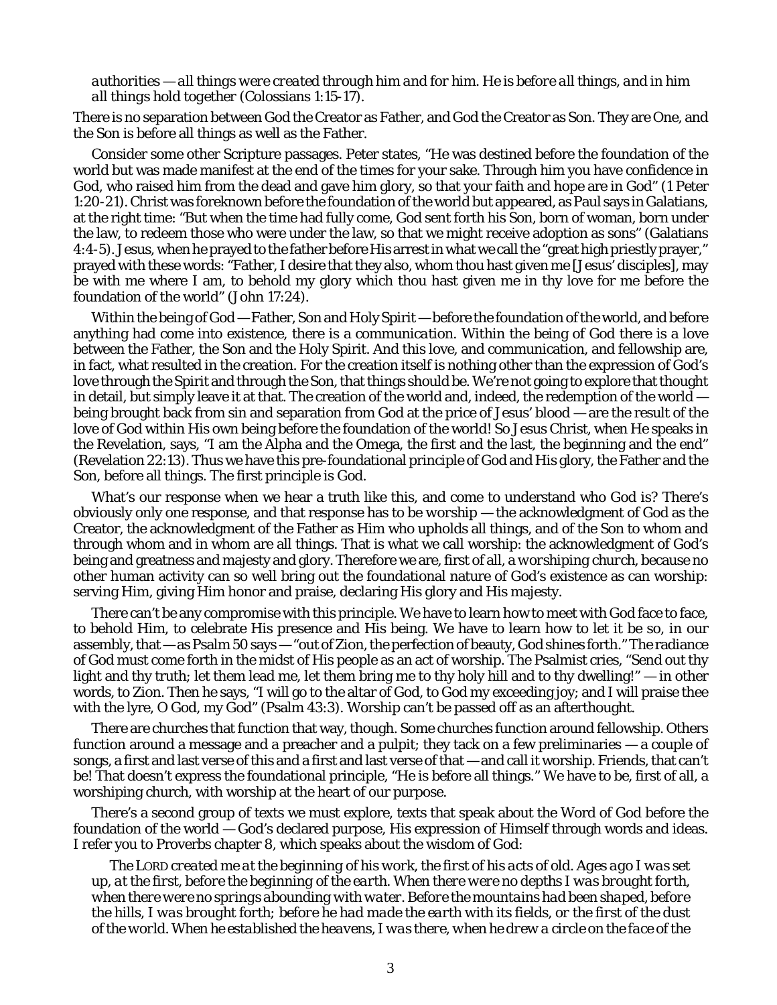## *authorities — all things were created through him and for him. He is before all things, and in him all things hold together* (Colossians 1:15-17).

There is no separation between God the Creator as Father, and God the Creator as Son. They are One, and the Son is before all things as well as the Father.

Consider some other Scripture passages. Peter states, "He was destined before the foundation of the world but was made manifest at the end of the times for your sake. Through him you have confidence in God, who raised him from the dead and gave him glory, so that your faith and hope are in God" (1 Peter 1:20-21). Christ was foreknown before the foundation of the world but appeared, as Paul says in Galatians, at the right time: "But when the time had fully come, God sent forth his Son, born of woman, born under the law, to redeem those who were under the law, so that we might receive adoption as sons" (Galatians 4:4-5). Jesus, when he prayed to the father before His arrest in what we call the "great high priestly prayer," prayed with these words: "Father, I desire that they also, whom thou hast given me [Jesus' disciples], may be with me where I am, to behold my glory which thou hast given me in thy love for me before the foundation of the world" (John 17:24).

Within the being of God — Father, Son and Holy Spirit — before the foundation of the world, and before anything had come into existence, there is a *communication*. Within the being of God there is a love between the Father, the Son and the Holy Spirit. And this love, and communication, and fellowship are, in fact, what resulted in the creation. For the creation itself is nothing other than the expression of God's love through the Spirit and through the Son, that things should be. We're not going to explore that thought in detail, but simply leave it at that. The creation of the world and, indeed, the redemption of the world  $$ being brought back from sin and separation from God at the price of Jesus' blood — are the result of the love of God within His own being before the foundation of the world! So Jesus Christ, when He speaks in the Revelation, says, "I am the Alpha and the Omega, the first and the last, the beginning and the end" (Revelation 22:13). Thus we have this pre-foundational principle of God and His glory, the Father and the Son, before all things. The first principle is *God*.

What's our response when we hear a truth like this, and come to understand who God is? There's obviously only one response, and that response has to be *worship* — the acknowledgment of God as the Creator, the acknowledgment of the Father as Him who upholds all things, and of the Son to whom and through whom and in whom are all things. That is what we call worship: the acknowledgment of God's being and greatness and majesty and glory. Therefore we are, first of all, a *worshiping church*, because no other human activity can so well bring out the foundational nature of God's existence as can worship: serving Him, giving Him honor and praise, declaring His glory and His majesty.

There can't be any compromise with this principle. We have to learn how to meet with God face to face, to behold Him, to celebrate His presence and His being. We have to learn how to let it be so, in our assembly, that — as Psalm 50 says — "out of Zion, the perfection of beauty, God shines forth." The radiance of God must come forth in the midst of His people as an act of worship. The Psalmist cries, "Send out thy light and thy truth; let them lead me, let them bring me to thy holy hill and to thy dwelling!" — in other words, to Zion. Then he says, "I will go to the altar of God, to God my exceeding joy; and I will praise thee with the lyre, O God, my God" (Psalm 43:3). Worship can't be passed off as an afterthought.

There are churches that function that way, though. Some churches function around fellowship. Others function around a message and a preacher and a pulpit; they tack on a few preliminaries — a couple of songs, a first and last verse of this and a first and last verse of that — and call it worship. Friends, that can't be! That doesn't express the foundational principle, "He is before all things." We have to be, first of all, a worshiping church, with worship at the heart of our purpose.

There's a second group of texts we must explore, texts that speak about the Word of God before the foundation of the world — God's declared purpose, His expression of Himself through words and ideas. I refer you to Proverbs chapter 8, which speaks about the wisdom of God:

*The LORD created me at the beginning of his work, the first of his acts of old. Ages ago I was set up, at the first, before the beginning of the earth. When there were no depths I was brought forth, when there were no springs abounding with water. Before the mountains had been shaped, before the hills, I was brought forth; before he had made the earth with its fields, or the first of the dust of the world. When he established the heavens, I was there, when he drew a circle on the face of the*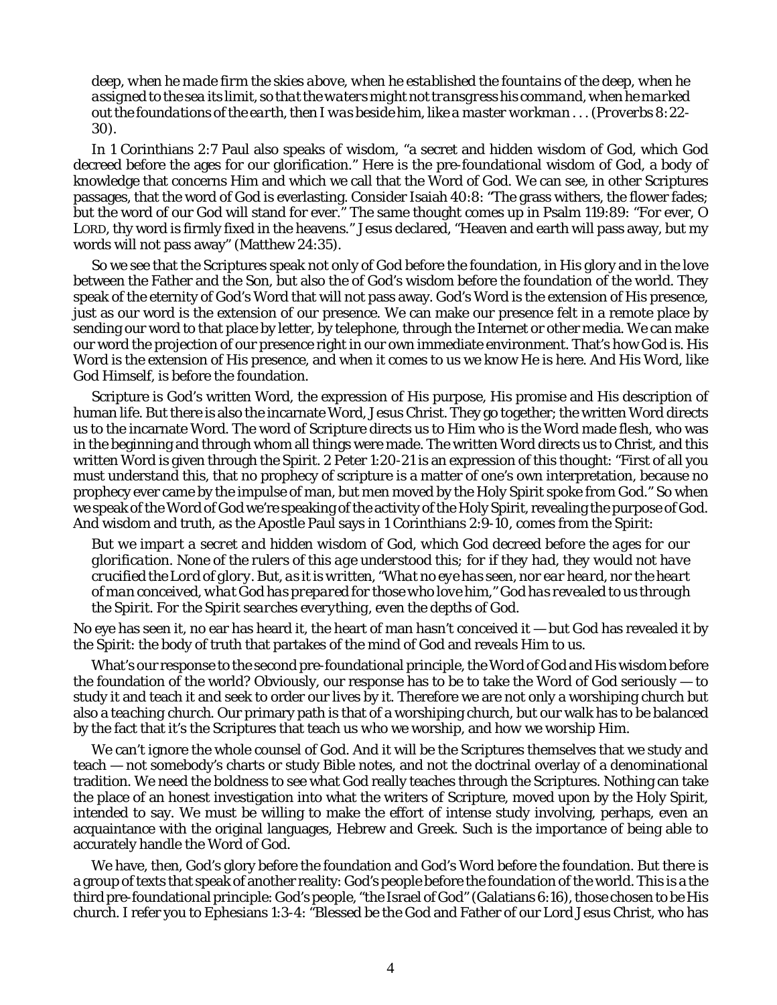*deep, when he made firm the skies above, when he established the fountains of the deep, when he assigned to the sea its limit, so that the waters might not transgress his command, when he marked out the foundations of the earth, then I was beside him, like a master workman . . . (Proverbs 8:22- 30)*.

In 1 Corinthians 2:7 Paul also speaks of wisdom, "a secret and hidden wisdom of God, which God decreed before the ages for our glorification." Here is the pre-foundational wisdom of God, a body of knowledge that concerns Him and which we call that the Word of God. We can see, in other Scriptures passages, that the word of God is everlasting. Consider Isaiah 40:8: "The grass withers, the flower fades; but the word of our God will stand for ever." The same thought comes up in Psalm 119:89: "For ever, O LORD, thy word is firmly fixed in the heavens." Jesus declared, "Heaven and earth will pass away, but my words will not pass away" (Matthew 24:35).

So we see that the Scriptures speak not only of God before the foundation, in His glory and in the love between the Father and the Son, but also the of God's wisdom before the foundation of the world. They speak of the eternity of God's Word that will not pass away. God's Word is the extension of His presence, just as our word is the extension of our presence. We can make our presence felt in a remote place by sending our word to that place by letter, by telephone, through the Internet or other media. We can make our word the projection of our presence right in our own immediate environment. That's how God is. His Word is the extension of His presence, and when it comes to us we know He is here. And His Word, like God Himself, is before the foundation.

Scripture is God's written Word, the expression of His purpose, His promise and His description of human life. But there is also the incarnate Word, Jesus Christ. They go together; the written Word directs us to the incarnate Word. The word of Scripture directs us to Him who is the Word made flesh, who was in the beginning and through whom all things were made. The written Word directs us to Christ, and this written Word is given through the Spirit. 2 Peter 1:20-21 is an expression of this thought: "First of all you must understand this, that no prophecy of scripture is a matter of one's own interpretation, because no prophecy ever came by the impulse of man, but men moved by the Holy Spirit spoke from God." So when we speak of the Word of God we're speaking of the activity of the Holy Spirit, revealing the purpose of God. And wisdom and truth, as the Apostle Paul says in 1 Corinthians 2:9-10, comes from the Spirit:

*But we impart a secret and hidden wisdom of God, which God decreed before the ages for our glorification. None of the rulers of this age understood this; for if they had, they would not have crucified the Lord of glory. But, as it is written, "What no eye has seen, nor ear heard, nor the heart of man conceived, what God has prepared for those who love him," God has revealed to us through the Spirit. For the Spirit searches everything, even the depths of God.*

No eye has seen it, no ear has heard it, the heart of man hasn't conceived it — but God has revealed it by the Spirit: the body of truth that partakes of the mind of God and reveals Him to us.

What's our response to the second pre-foundational principle, the Word of God and His wisdom before the foundation of the world? Obviously, our response has to be to take the Word of God seriously — to study it and teach it and seek to order our lives by it. Therefore we are not only a worshiping church but also a *teaching church*. Our primary path is that of a worshiping church, but our walk has to be balanced by the fact that it's the Scriptures that teach us *who* we worship, and *how* we worship Him.

We can't ignore the whole counsel of God. And it will be the Scriptures themselves that we study and teach — not somebody's charts or study Bible notes, and not the doctrinal overlay of a denominational tradition. We need the boldness to see what God really teaches through the Scriptures. Nothing can take the place of an honest investigation into what the writers of Scripture, moved upon by the Holy Spirit, intended to say. We must be willing to make the effort of intense study involving, perhaps, even an acquaintance with the original languages, Hebrew and Greek. Such is the importance of being able to accurately handle the Word of God.

We have, then, God's glory before the foundation and God's Word before the foundation. But there is a group of texts that speak of another reality: *God's people* before the foundation of the world. This is a the third pre-foundational principle: God's people, "the Israel of God" (Galatians 6:16), those chosen to be His church. I refer you to Ephesians 1:3-4: "Blessed be the God and Father of our Lord Jesus Christ, who has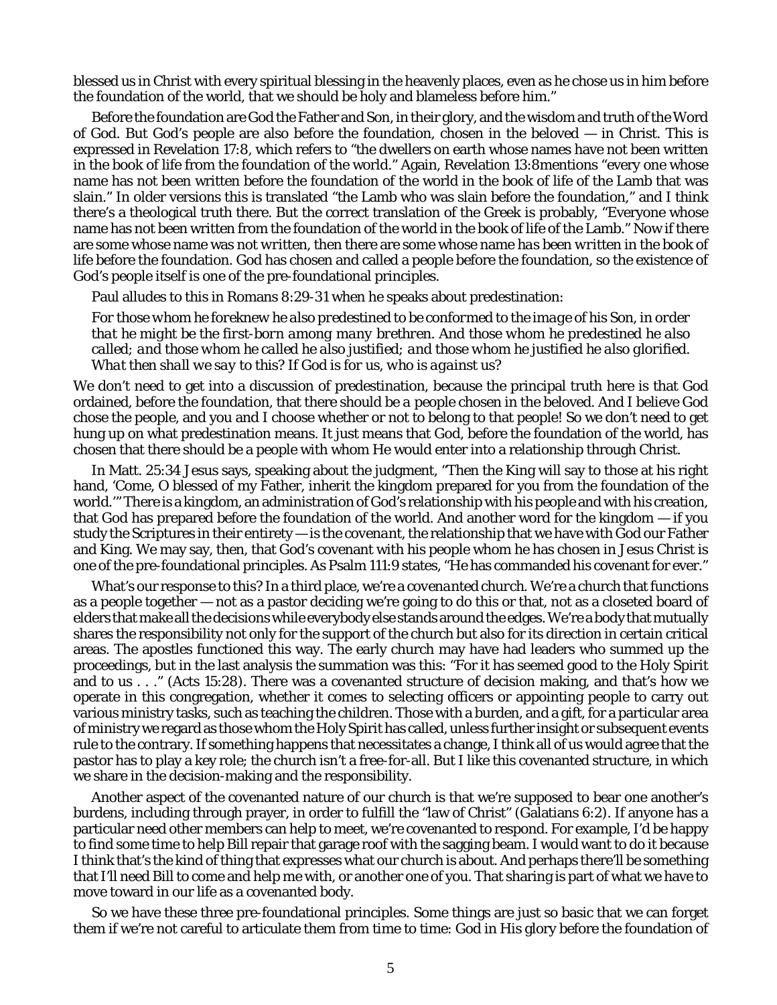blessed us in Christ with every spiritual blessing in the heavenly places, even as he chose us in him before the foundation of the world, that we should be holy and blameless before him."

Before the foundation are God the Father and Son, in their glory, and the wisdom and truth of the Word of God. But God's people are also before the foundation, chosen in the beloved — in Christ. This is expressed in Revelation 17:8, which refers to "the dwellers on earth whose names have not been written in the book of life from the foundation of the world." Again, Revelation 13:8mentions "every one whose name has not been written before the foundation of the world in the book of life of the Lamb that was slain." In older versions this is translated "the Lamb who was slain before the foundation," and I think there's a theological truth there. But the correct translation of the Greek is probably, "Everyone whose name has not been written from the foundation of the world in the book of life of the Lamb." Now if there are some whose name was *not written*, then there are some whose name *has been written* in the book of life before the foundation. God has chosen and called a people before the foundation, so the existence of God's people itself is one of the pre-foundational principles.

Paul alludes to this in Romans 8:29-31 when he speaks about predestination:

*For those whom he foreknew he also predestined to be conformed to the image of his Son, in order that he might be the first-born among many brethren. And those whom he predestined he also called; and those whom he called he also justified; and those whom he justified he also glorified. What then shall we say to this? If God is for us, who is against us?*

We don't need to get into a discussion of predestination, because the principal truth here is that God ordained, before the foundation, that there should be *a people* chosen in the beloved. And I believe God chose the people, and you and I choose whether or not to belong to that people! So we don't need to get hung up on what predestination means. It just means that God, before the foundation of the world, has chosen that there should be a people with whom He would enter into a relationship through Christ.

In Matt. 25:34 Jesus says, speaking about the judgment, "Then the King will say to those at his right hand, 'Come, O blessed of my Father, inherit the kingdom prepared for you from the foundation of the world.'" There is a kingdom, an administration of God's relationship with his people and with his creation, that God has prepared before the foundation of the world. And another word for the kingdom — if you study the Scriptures in their entirety — is the *covenant*, the relationship that we have with God our Father and King. We may say, then, that God's covenant with his people whom he has chosen in Jesus Christ is one of the pre-foundational principles. As Psalm 111:9 states, "He has commanded his covenant for ever."

What's our response to this? In a third place, we're a *covenanted church*. We're a church that functions as a people together — not as a pastor deciding we're going to do this or that, not as a closeted board of elders that make all the decisions while everybody else stands around the edges. We're a body that mutually shares the responsibility not only for the support of the church but also for its direction in certain critical areas. The apostles functioned this way. The early church may have had leaders who summed up the proceedings, but in the last analysis the summation was this: "For it has seemed good to the Holy Spirit and to us . . ." (Acts 15:28). There was a covenanted structure of decision making, and that's how we operate in this congregation, whether it comes to selecting officers or appointing people to carry out various ministry tasks, such as teaching the children. Those with a burden, and a gift, for a particular area of ministry we regard as those whom the Holy Spirit has called, unless further insight or subsequent events rule to the contrary. If something happens that necessitates a change, I think all of us would agree that the pastor has to play a key role; the church isn't a free-for-all. But I like this covenanted structure, in which we share in the decision-making and the responsibility.

Another aspect of the covenanted nature of our church is that we're supposed to bear one another's burdens, including through prayer, in order to fulfill the "law of Christ" (Galatians 6:2). If anyone has a particular need other members can help to meet, we're covenanted to respond. For example, I'd be happy to find some time to help Bill repair that garage roof with the sagging beam. I would want to do it because I think that's the kind of thing that expresses what our church is about. And perhaps there'll be something that I'll need Bill to come and help me with, or another one of you. That sharing is part of what we have to move toward in our life as a covenanted body.

So we have these three pre-foundational principles. Some things are just so basic that we can forget them if we're not careful to articulate them from time to time: God in His glory before the foundation of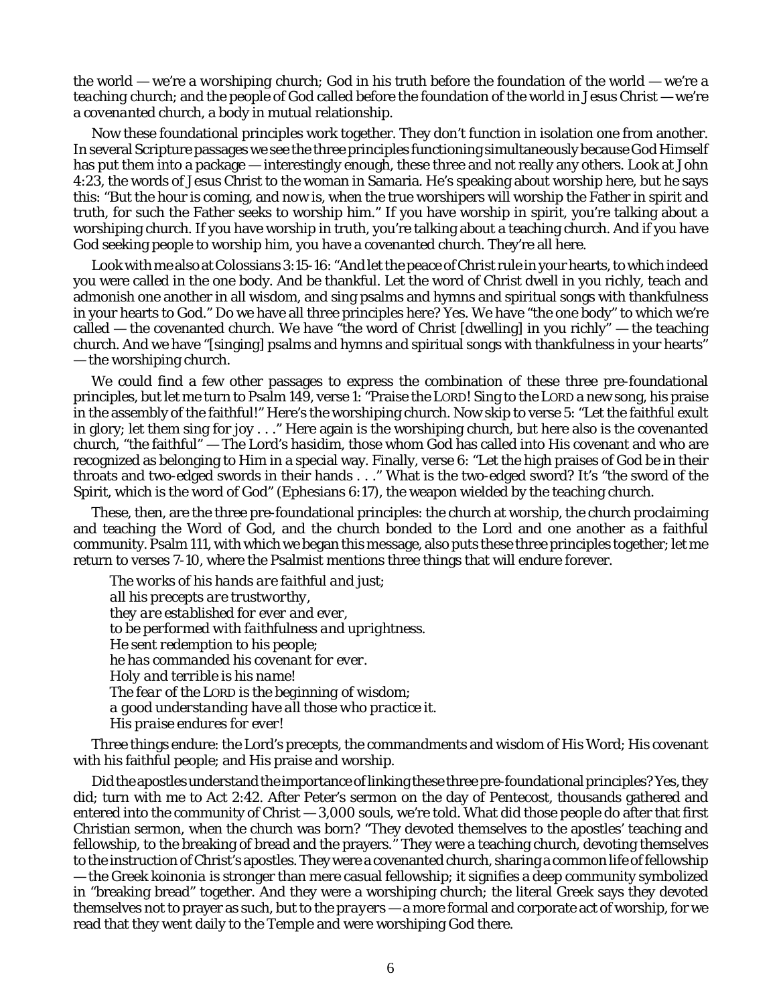the world — we're a *worshiping* church; God in his truth before the foundation of the world — we're a *teaching* church; and the people of God called before the foundation of the world in Jesus Christ — we're a *covenanted* church, a body in mutual relationship.

Now these foundational principles work together. They don't function in isolation one from another. In several Scripture passages we see the three principles functioning simultaneously because God Himself has put them into a package — interestingly enough, these three and not really any others. Look at John 4:23, the words of Jesus Christ to the woman in Samaria. He's speaking about worship here, but he says this: "But the hour is coming, and now is, when the true worshipers will worship the Father in spirit and truth, for such the Father seeks to worship him." If you have worship in spirit, you're talking about a worshiping church. If you have worship in truth, you're talking about a teaching church. And if you have God seeking people to worship him, you have a covenanted church. They're all here.

Look with me also at Colossians 3:15-16: "And let the peace of Christ rule in your hearts, to which indeed you were called in the one body. And be thankful. Let the word of Christ dwell in you richly, teach and admonish one another in all wisdom, and sing psalms and hymns and spiritual songs with thankfulness in your hearts to God." Do we have all three principles here? Yes. We have "the one body" to which we're called — the covenanted church. We have "the word of Christ [dwelling] in you richly" — the teaching church. And we have "[singing] psalms and hymns and spiritual songs with thankfulness in your hearts" — the worshiping church.

We could find a few other passages to express the combination of these three pre-foundational principles, but let me turn to Psalm 149, verse 1: "Praise the LORD! Sing to the LORD a new song, his praise in the assembly of the faithful!" Here's the worshiping church. Now skip to verse 5: "Let the faithful exult in glory; let them sing for joy . . ." Here again is the worshiping church, but here also is the covenanted church, "the faithful" — The Lord's *hasidim*, those whom God has called into His covenant and who are recognized as belonging to Him in a special way. Finally, verse 6: "Let the high praises of God be in their throats and two-edged swords in their hands . . ." What is the two-edged sword? It's "the sword of the Spirit, which is the word of God" (Ephesians 6:17), the weapon wielded by the teaching church.

These, then, are the three pre-foundational principles: the church at worship, the church proclaiming and teaching the Word of God, and the church bonded to the Lord and one another as a faithful community. Psalm 111, with which we began this message, also puts these three principles together; let me return to verses 7-10, where the Psalmist mentions three things that will endure forever.

*The works of his hands are faithful and just; all his precepts are trustworthy, they are established for ever and ever, to be performed with faithfulness and uprightness. He sent redemption to his people; he has commanded his covenant for ever. Holy and terrible is his name! The fear of the LORD is the beginning of wisdom; a good understanding have all those who practice it. His praise endures for ever!*

Three things endure: the Lord's precepts, the commandments and wisdom of His Word; His covenant with his faithful people; and His praise and worship.

Did the apostles understand the importance of linking these three pre-foundational principles? Yes, they did; turn with me to Act 2:42. After Peter's sermon on the day of Pentecost, thousands gathered and entered into the community of Christ — 3,000 souls, we're told. What did those people do after that first Christian sermon, when the church was born? "They devoted themselves to the apostles' teaching and fellowship, to the breaking of bread and the prayers." They were a teaching church, devoting themselves to the instruction of Christ's apostles. They were a covenanted church, sharing a common life of fellowship — the Greek *koinonia* is stronger than mere casual fellowship; it signifies a deep community symbolized in "breaking bread" together. And they were a worshiping church; the literal Greek says they devoted themselves not to prayer as such, but to *the prayers* — a more formal and corporate act of worship, for we read that they went daily to the Temple and were worshiping God there.